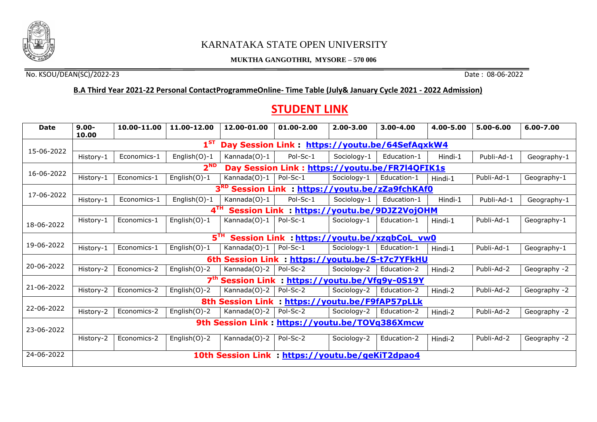

## KARNATAKA STATE OPEN UNIVERSITY

## **MUKTHA GANGOTHRI, MYSORE – 570 006**

No. KSOU/DEAN(SC)/2022-23 Date : 08-06-2022

## **B.A Third Year 2021-22 Personal ContactProgrammeOnline- Time Table (July& January Cycle 2021 - 2022 Admission)**

## **STUDENT LINK**

| <b>Date</b> | $9.00 -$<br>10.00                                                 | 10.00-11.00 | 11.00-12.00     | 12.00-01.00  | 01.00-2.00                                       | $2.00 - 3.00$ | $3.00 - 4.00$ | 4.00-5.00 | $5.00 - 6.00$ | 6.00-7.00    |  |  |
|-------------|-------------------------------------------------------------------|-------------|-----------------|--------------|--------------------------------------------------|---------------|---------------|-----------|---------------|--------------|--|--|
|             | $1^{ST}$<br>Day Session Link : https://youtu.be/64SefAqxkW4       |             |                 |              |                                                  |               |               |           |               |              |  |  |
| 15-06-2022  | History-1                                                         | Economics-1 | English(O)-1    | Kannada(O)-1 | Pol-Sc-1                                         | Sociology-1   | Education-1   | Hindi-1   | Publi-Ad-1    | Geography-1  |  |  |
|             | 2 <sup>ND</sup><br>Day Session Link: https://youtu.be/FR7I4QFIK1s |             |                 |              |                                                  |               |               |           |               |              |  |  |
| 16-06-2022  | History-1                                                         | Economics-1 | English(O)-1    | Kannada(O)-1 | Pol-Sc-1                                         | Sociology-1   | Education-1   | Hindi-1   | Publi-Ad-1    | Geography-1  |  |  |
|             | 3 <sup>RD</sup> Session Link : https://youtu.be/zZa9fchKAf0       |             |                 |              |                                                  |               |               |           |               |              |  |  |
| 17-06-2022  | History-1                                                         | Economics-1 | English $(O)-1$ | Kannada(O)-1 | Pol-Sc-1                                         | Sociology-1   | Education-1   | Hindi-1   | Publi-Ad-1    | Geography-1  |  |  |
|             | $4^{\text{TH}}$<br>Session Link : https://youtu.be/9DJZ2VojOHM    |             |                 |              |                                                  |               |               |           |               |              |  |  |
| 18-06-2022  | History-1                                                         | Economics-1 | English $(0)-1$ | Kannada(O)-1 | Pol-Sc-1                                         | Sociology-1   | Education-1   | Hindi-1   | Publi-Ad-1    | Geography-1  |  |  |
|             | 5 <sup>TH</sup><br>Session Link : https://youtu.be/xzqbCoL vw0    |             |                 |              |                                                  |               |               |           |               |              |  |  |
| 19-06-2022  | History-1                                                         | Economics-1 | English(O)-1    | Kannada(O)-1 | Pol-Sc-1                                         | Sociology-1   | Education-1   | Hindi-1   | Publi-Ad-1    | Geography-1  |  |  |
|             | 6th Session Link : https://youtu.be/S-t7c7YFkHU                   |             |                 |              |                                                  |               |               |           |               |              |  |  |
| 20-06-2022  | History-2                                                         | Economics-2 | English(O)-2    | Kannada(O)-2 | Pol-Sc-2                                         | Sociology-2   | Education-2   | Hindi-2   | Publi-Ad-2    | Geography -2 |  |  |
|             | 7 <sup>th</sup> Session Link : https://youtu.be/Vfg9y-0S19Y       |             |                 |              |                                                  |               |               |           |               |              |  |  |
| 21-06-2022  | History-2                                                         | Economics-2 | English(O)-2    | Kannada(O)-2 | Pol-Sc-2                                         | Sociology-2   | Education-2   | Hindi-2   | Publi-Ad-2    | Geography -2 |  |  |
|             | 8th Session Link : https://youtu.be/F9fAP57pLLk                   |             |                 |              |                                                  |               |               |           |               |              |  |  |
| 22-06-2022  | History-2                                                         | Economics-2 | English(O)-2    | Kannada(O)-2 | Pol-Sc-2                                         | Sociology-2   | Education-2   | Hindi-2   | Publi-Ad-2    | Geography -2 |  |  |
| 23-06-2022  | 9th Session Link: https://youtu.be/TOVq386Xmcw                    |             |                 |              |                                                  |               |               |           |               |              |  |  |
|             | History-2                                                         | Economics-2 | English(O)-2    | Kannada(O)-2 | Pol-Sc-2                                         | Sociology-2   | Education-2   | Hindi-2   | Publi-Ad-2    | Geography -2 |  |  |
| 24-06-2022  |                                                                   |             |                 |              | 10th Session Link : https://youtu.be/geKiT2dpao4 |               |               |           |               |              |  |  |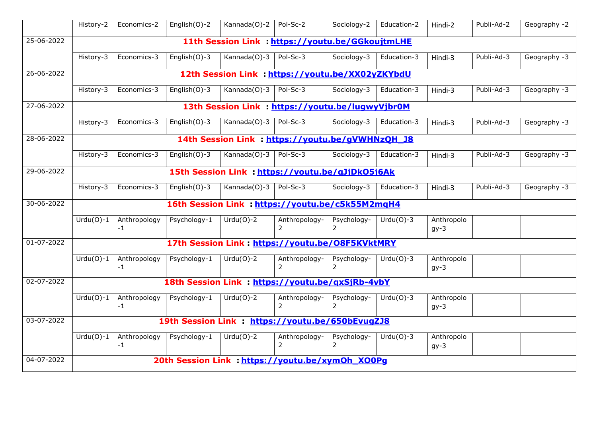|                  | History-2                                        | Economics-2                                      | English(O)-2     | Kannada(O)-2 | Pol-Sc-2                        | Sociology-2                   | Education-2 | Hindi-2              | Publi-Ad-2 | Geography -2 |  |  |
|------------------|--------------------------------------------------|--------------------------------------------------|------------------|--------------|---------------------------------|-------------------------------|-------------|----------------------|------------|--------------|--|--|
| 25-06-2022       | 11th Session Link : https://youtu.be/GGkoujtmLHE |                                                  |                  |              |                                 |                               |             |                      |            |              |  |  |
|                  |                                                  |                                                  |                  |              |                                 |                               |             |                      |            |              |  |  |
|                  | History-3                                        | Economics-3                                      | English $(0)-3$  | Kannada(O)-3 | Pol-Sc-3                        | Sociology-3                   | Education-3 | Hindi-3              | Publi-Ad-3 | Geography -3 |  |  |
| 26-06-2022       | 12th Session Link : https://youtu.be/XX02yZKYbdU |                                                  |                  |              |                                 |                               |             |                      |            |              |  |  |
|                  | History-3                                        | Economics-3                                      | English $(O)$ -3 | Kannada(O)-3 | Pol-Sc-3                        | Sociology-3                   | Education-3 | Hindi-3              | Publi-Ad-3 | Geography -3 |  |  |
| 27-06-2022       | 13th Session Link : https://youtu.be/lugwyVjbr0M |                                                  |                  |              |                                 |                               |             |                      |            |              |  |  |
|                  | History-3                                        | Economics-3                                      | English $(0)-3$  | Kannada(O)-3 | Pol-Sc-3                        | Sociology-3                   | Education-3 | Hindi-3              | Publi-Ad-3 | Geography -3 |  |  |
| 28-06-2022       | 14th Session Link : https://youtu.be/gVWHNzOH J8 |                                                  |                  |              |                                 |                               |             |                      |            |              |  |  |
|                  | History-3                                        | Economics-3                                      | English $(0)-3$  | Kannada(O)-3 | Pol-Sc-3                        | Sociology-3                   | Education-3 | Hindi-3              | Publi-Ad-3 | Geography -3 |  |  |
| 29-06-2022       | 15th Session Link : https://youtu.be/qJjDkO5j6Ak |                                                  |                  |              |                                 |                               |             |                      |            |              |  |  |
|                  | History-3                                        | Economics-3                                      | English(O)-3     | Kannada(O)-3 | Pol-Sc-3                        | Sociology-3                   | Education-3 | Hindi-3              | Publi-Ad-3 | Geography -3 |  |  |
| 30-06-2022       | 16th Session Link : https://voutu.be/c5k55M2mgH4 |                                                  |                  |              |                                 |                               |             |                      |            |              |  |  |
|                  | $Urdu(O)-1$                                      | Anthropology<br>$-1$                             | Psychology-1     | $Urdu(O)-2$  | Anthropology-<br>$\mathcal{P}$  | Psychology-<br>$\overline{2}$ | $Urdu(O)-3$ | Anthropolo<br>$gy-3$ |            |              |  |  |
| 01-07-2022       | 17th Session Link: https://voutu.be/08F5KVktMRY  |                                                  |                  |              |                                 |                               |             |                      |            |              |  |  |
|                  | $Urdu(O)-1$                                      | Anthropology<br>$-1$                             | Psychology-1     | $Urdu(O)-2$  | Anthropology-<br>2              | Psychology-<br>$\overline{2}$ | $Urdu(O)-3$ | Anthropolo<br>$gy-3$ |            |              |  |  |
| 02-07-2022       | 18th Session Link : https://youtu.be/gxSjRb-4vbY |                                                  |                  |              |                                 |                               |             |                      |            |              |  |  |
|                  | $Urdu(O)-1$                                      | Anthropology<br>-1                               | Psychology-1     | $Urdu(O)-2$  | Anthropology-<br>2              | Psychology-<br>$\overline{2}$ | $Urdu(O)-3$ | Anthropolo<br>$gy-3$ |            |              |  |  |
| $03 - 07 - 2022$ | 19th Session Link : https://youtu.be/650bEvugZJ8 |                                                  |                  |              |                                 |                               |             |                      |            |              |  |  |
|                  | $Urdu(O)-1$                                      | Anthropology<br>$-1$                             | Psychology-1     | $Urdu(O)-2$  | Anthropology-<br>$\overline{2}$ | Psychology-<br>2              | $Urdu(O)-3$ | Anthropolo<br>$gy-3$ |            |              |  |  |
| 04-07-2022       |                                                  | 20th Session Link : https://youtu.be/xymOh XO0Pg |                  |              |                                 |                               |             |                      |            |              |  |  |